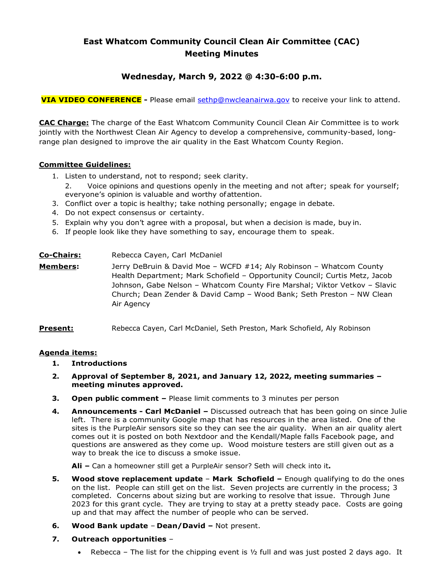# **East Whatcom Community Council Clean Air Committee (CAC) Meeting Minutes**

## **Wednesday, March 9, 2022 @ 4:30-6:00 p.m.**

**VIA VIDEO CONFERENCE -** Please email [sethp@nwcleanairwa.gov](mailto:sethp@nwcleanairwa.gov) to receive your link to attend.

**CAC Charge:** The charge of the East Whatcom Community Council Clean Air Committee is to work jointly with the Northwest Clean Air Agency to develop a comprehensive, community-based, longrange plan designed to improve the air quality in the East Whatcom County Region.

### **Committee Guidelines:**

- 1. Listen to understand, not to respond; seek clarity.
- 2. Voice opinions and questions openly in the meeting and not after; speak for yourself; everyone's opinion is valuable and worthy ofattention.
- 3. Conflict over a topic is healthy; take nothing personally; engage in debate.
- 4. Do not expect consensus or certainty.
- 5. Explain why you don't agree with a proposal, but when a decision is made, buy in.
- 6. If people look like they have something to say, encourage them to speak.

| <u>Co-Chairs:</u> | Rebecca Cayen, Carl McDaniel                                                                                                                                                                                                                                                                                            |
|-------------------|-------------------------------------------------------------------------------------------------------------------------------------------------------------------------------------------------------------------------------------------------------------------------------------------------------------------------|
| Members:          | Jerry DeBruin & David Moe - WCFD #14; Aly Robinson - Whatcom County<br>Health Department; Mark Schofield - Opportunity Council; Curtis Metz, Jacob<br>Johnson, Gabe Nelson - Whatcom County Fire Marshal; Viktor Vetkov - Slavic<br>Church; Dean Zender & David Camp - Wood Bank; Seth Preston - NW Clean<br>Air Agency |

**Present:** Rebecca Cayen, Carl McDaniel, Seth Preston, Mark Schofield, Aly Robinson

#### **Agenda items:**

- **1. Introductions**
- **2. Approval of September 8, 2021, and January 12, 2022, meeting summaries – meeting minutes approved.**
- **3. Open public comment –** Please limit comments to 3 minutes per person
- **4. Announcements - Carl McDaniel –** Discussed outreach that has been going on since Julie left. There is a community Google map that has resources in the area listed. One of the sites is the PurpleAir sensors site so they can see the air quality. When an air quality alert comes out it is posted on both Nextdoor and the Kendall/Maple falls Facebook page, and questions are answered as they come up. Wood moisture testers are still given out as a way to break the ice to discuss a smoke issue.

**Ali –** Can a homeowner still get a PurpleAir sensor? Seth will check into it**.**

- **5. Wood stove replacement update Mark Schofield –** Enough qualifying to do the ones on the list. People can still get on the list. Seven projects are currently in the process; 3 completed. Concerns about sizing but are working to resolve that issue. Through June 2023 for this grant cycle. They are trying to stay at a pretty steady pace. Costs are going up and that may affect the number of people who can be served.
- **6. Wood Bank update Dean/David –** Not present.
- **7. Outreach opportunities** 
	- Rebecca The list for the chipping event is  $\frac{1}{2}$  full and was just posted 2 days ago. It